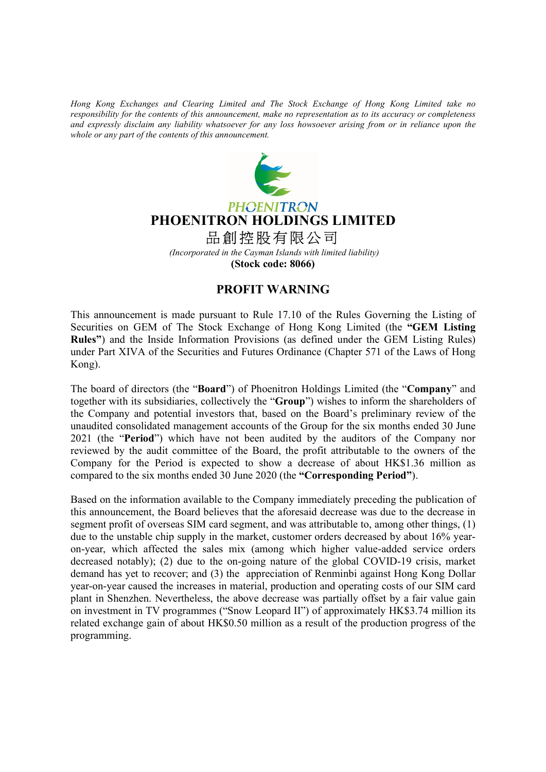Hong Kong Exchanges and Clearing Limited and The Stock Exchange of Hong Kong Limited take no responsibility for the contents of this announcement, make no representation as to its accuracy or completeness and expressly disclaim any liability whatsoever for any loss howsoever arising from or in reliance upon the whole or any part of the contents of this announcement.



## **PHOENITRON** PHOENITRON HOLDINGS LIMITED 品創控股有限公司

(Incorporated in the Cayman Islands with limited liability) (Stock code: 8066)

## PROFIT WARNING

This announcement is made pursuant to Rule 17.10 of the Rules Governing the Listing of Securities on GEM of The Stock Exchange of Hong Kong Limited (the "GEM Listing Rules") and the Inside Information Provisions (as defined under the GEM Listing Rules) under Part XIVA of the Securities and Futures Ordinance (Chapter 571 of the Laws of Hong Kong).

The board of directors (the "Board") of Phoenitron Holdings Limited (the "Company" and together with its subsidiaries, collectively the "Group") wishes to inform the shareholders of the Company and potential investors that, based on the Board's preliminary review of the unaudited consolidated management accounts of the Group for the six months ended 30 June 2021 (the "Period") which have not been audited by the auditors of the Company nor reviewed by the audit committee of the Board, the profit attributable to the owners of the Company for the Period is expected to show a decrease of about HK\$1.36 million as compared to the six months ended 30 June 2020 (the "Corresponding Period").

Based on the information available to the Company immediately preceding the publication of this announcement, the Board believes that the aforesaid decrease was due to the decrease in segment profit of overseas SIM card segment, and was attributable to, among other things, (1) due to the unstable chip supply in the market, customer orders decreased by about 16% yearon-year, which affected the sales mix (among which higher value-added service orders decreased notably); (2) due to the on-going nature of the global COVID-19 crisis, market demand has yet to recover; and (3) the appreciation of Renminbi against Hong Kong Dollar year-on-year caused the increases in material, production and operating costs of our SIM card plant in Shenzhen. Nevertheless, the above decrease was partially offset by a fair value gain on investment in TV programmes ("Snow Leopard II") of approximately HK\$3.74 million its related exchange gain of about HK\$0.50 million as a result of the production progress of the programming.